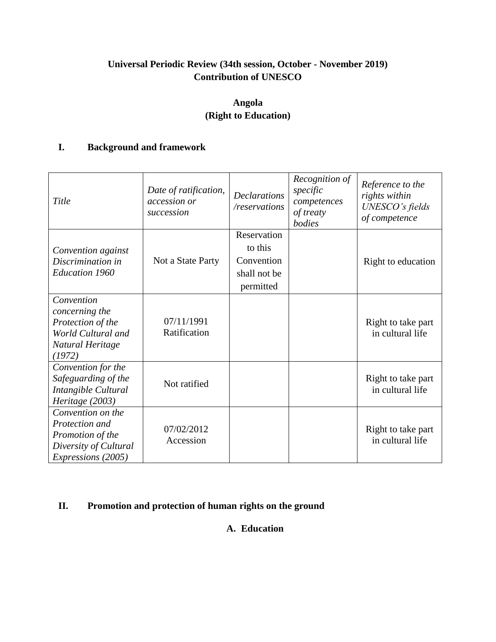# **Universal Periodic Review (34th session, October - November 2019) Contribution of UNESCO**

# **Angola (Right to Education)**

# **I. Background and framework**

| Title                                                                                                         | Date of ratification,<br>accession or<br>succession | <b>Declarations</b><br>/reservations                              | Recognition of<br>specific<br>competences<br>of treaty<br>bodies | Reference to the<br>rights within<br>UNESCO's fields<br>of competence |
|---------------------------------------------------------------------------------------------------------------|-----------------------------------------------------|-------------------------------------------------------------------|------------------------------------------------------------------|-----------------------------------------------------------------------|
| Convention against<br>Discrimination in<br><b>Education 1960</b>                                              | Not a State Party                                   | Reservation<br>to this<br>Convention<br>shall not be<br>permitted |                                                                  | Right to education                                                    |
| Convention<br>concerning the<br>Protection of the<br>World Cultural and<br>Natural Heritage<br>(1972)         | 07/11/1991<br>Ratification                          |                                                                   |                                                                  | Right to take part<br>in cultural life                                |
| Convention for the<br>Safeguarding of the<br>Intangible Cultural<br>Heritage (2003)                           | Not ratified                                        |                                                                   |                                                                  | Right to take part<br>in cultural life                                |
| Convention on the<br>Protection and<br>Promotion of the<br>Diversity of Cultural<br><i>Expressions</i> (2005) | 07/02/2012<br>Accession                             |                                                                   |                                                                  | Right to take part<br>in cultural life                                |

# **II. Promotion and protection of human rights on the ground**

# **A. Education**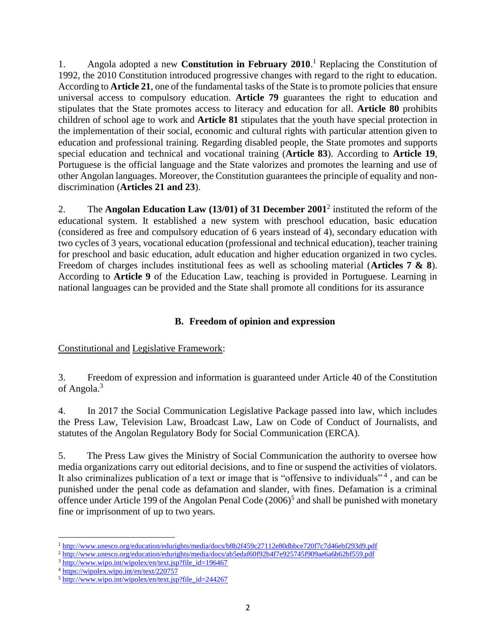1. Angola adopted a new **Constitution in February 2010**. <sup>1</sup> Replacing the Constitution of 1992, the 2010 Constitution introduced progressive changes with regard to the right to education. According to **Article 21**, one of the fundamental tasks of the State is to promote policies that ensure universal access to compulsory education. **Article 79** guarantees the right to education and stipulates that the State promotes access to literacy and education for all. **Article 80** prohibits children of school age to work and **Article 81** stipulates that the youth have special protection in the implementation of their social, economic and cultural rights with particular attention given to education and professional training. Regarding disabled people, the State promotes and supports special education and technical and vocational training (**Article 83**). According to **Article 19**, Portuguese is the official language and the State valorizes and promotes the learning and use of other Angolan languages. Moreover, the Constitution guarantees the principle of equality and nondiscrimination (**Articles 21 and 23**).

2. The **Angolan Education Law (13/01) of 31 December 2001**<sup>2</sup> instituted the reform of the educational system. It established a new system with preschool education, basic education (considered as free and compulsory education of 6 years instead of 4), secondary education with two cycles of 3 years, vocational education (professional and technical education), teacher training for preschool and basic education, adult education and higher education organized in two cycles. Freedom of charges includes institutional fees as well as schooling material (**Articles 7 & 8**). According to **Article 9** of the Education Law, teaching is provided in Portuguese. Learning in national languages can be provided and the State shall promote all conditions for its assurance

# **B. Freedom of opinion and expression**

#### Constitutional and Legislative Framework:

3. Freedom of expression and information is guaranteed under Article 40 of the Constitution of Angola.<sup>3</sup>

4. In 2017 the Social Communication Legislative Package passed into law, which includes the Press Law, Television Law, Broadcast Law, Law on Code of Conduct of Journalists, and statutes of the Angolan Regulatory Body for Social Communication (ERCA).

5. The Press Law gives the Ministry of Social Communication the authority to oversee how media organizations carry out editorial decisions, and to fine or suspend the activities of violators. It also criminalizes publication of a text or image that is "offensive to individuals"<sup>4</sup>, and can be punished under the penal code as defamation and slander, with fines. Defamation is a criminal offence under Article 199 of the Angolan Penal Code  $(2006)^5$  and shall be punished with monetary fine or imprisonment of up to two years.

 $\overline{\phantom{a}}$ <sup>1</sup><http://www.unesco.org/education/edurights/media/docs/b8b2f459c27112e80dbbce720f7c7d46ebf293d9.pdf>

<sup>2</sup> <http://www.unesco.org/education/edurights/media/docs/ab5edaf60f92b4f7e925745f909ae6a6b62bf559.pdf>

<sup>&</sup>lt;sup>3</sup> [http://www.wipo.int/wipolex/en/text.jsp?file\\_id=196467](http://www.wipo.int/wipolex/en/text.jsp?file_id=196467)

<sup>4</sup> <https://wipolex.wipo.int/en/text/220757>

 $5 \frac{\text{http://www.wipo.int/wipolex/en/text.jsp?file_id=244267}}{244267}$  $5 \frac{\text{http://www.wipo.int/wipolex/en/text.jsp?file_id=244267}}{244267}$  $5 \frac{\text{http://www.wipo.int/wipolex/en/text.jsp?file_id=244267}}{244267}$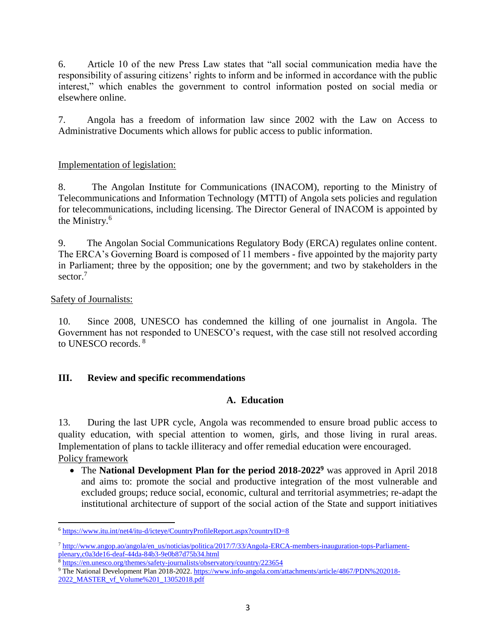6. Article 10 of the new Press Law states that "all social communication media have the responsibility of assuring citizens' rights to inform and be informed in accordance with the public interest," which enables the government to control information posted on social media or elsewhere online.

7. Angola has a freedom of information law since 2002 with the Law on Access to Administrative Documents which allows for public access to public information.

### Implementation of legislation:

8. The Angolan Institute for Communications (INACOM), reporting to the Ministry of Telecommunications and Information Technology (MTTI) of Angola sets policies and regulation for telecommunications, including licensing. The Director General of INACOM is appointed by the Ministry.<sup>6</sup>

9. The Angolan Social Communications Regulatory Body (ERCA) regulates online content. The ERCA's Governing Board is composed of 11 members - five appointed by the majority party in Parliament; three by the opposition; one by the government; and two by stakeholders in the sector.<sup>7</sup>

#### Safety of Journalists:

10. Since 2008, UNESCO has condemned the killing of one journalist in Angola. The Government has not responded to UNESCO's request, with the case still not resolved according to UNESCO records. <sup>8</sup>

#### **III. Review and specific recommendations**

#### **A. Education**

13. During the last UPR cycle, Angola was recommended to ensure broad public access to quality education, with special attention to women, girls, and those living in rural areas. Implementation of plans to tackle illiteracy and offer remedial education were encouraged. Policy framework

 The **National Development Plan for the period 2018-2022<sup>9</sup>** was approved in April 2018 and aims to: promote the social and productive integration of the most vulnerable and excluded groups; reduce social, economic, cultural and territorial asymmetries; re-adapt the institutional architecture of support of the social action of the State and support initiatives

 $\overline{\phantom{a}}$ <sup>6</sup> <https://www.itu.int/net4/itu-d/icteye/CountryProfileReport.aspx?countryID=8>

<sup>7</sup> [http://www.angop.ao/angola/en\\_us/noticias/politica/2017/7/33/Angola-ERCA-members-inauguration-tops-Parliament](http://www.angop.ao/angola/en_us/noticias/politica/2017/7/33/Angola-ERCA-members-inauguration-tops-Parliament-plenary,c0a3de16-deaf-44da-84b3-9e0b87d75b34.html)[plenary,c0a3de16-deaf-44da-84b3-9e0b87d75b34.html](http://www.angop.ao/angola/en_us/noticias/politica/2017/7/33/Angola-ERCA-members-inauguration-tops-Parliament-plenary,c0a3de16-deaf-44da-84b3-9e0b87d75b34.html)

<sup>&</sup>lt;sup>8</sup> <https://en.unesco.org/themes/safety-journalists/observatory/country/223654>

<sup>9</sup> The National Development Plan 2018-2022[. https://www.info-angola.com/attachments/article/4867/PDN%202018-](https://www.info-angola.com/attachments/article/4867/PDN%202018-2022_MASTER_vf_Volume%201_13052018.pdf) 2022 MASTER vf Volume%201 13052018.pdf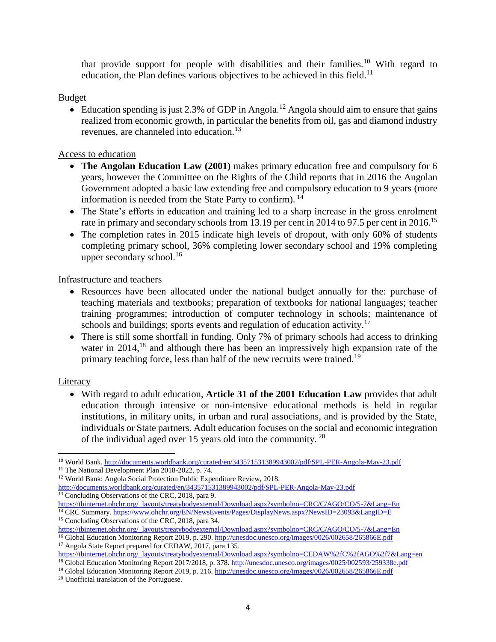that provide support for people with disabilities and their families.<sup>10</sup> With regard to education, the Plan defines various objectives to be achieved in this field.<sup>11</sup>

#### Budget

Education spending is just 2.3% of GDP in Angola.<sup>12</sup> Angola should aim to ensure that gains realized from economic growth, in particular the benefits from oil, gas and diamond industry revenues, are channeled into education.<sup>13</sup>

#### Access to education

- **The Angolan Education Law (2001)** makes primary education free and compulsory for 6 years, however the Committee on the Rights of the Child reports that in 2016 the Angolan Government adopted a basic law extending free and compulsory education to 9 years (more information is needed from the State Party to confirm). <sup>14</sup>
- The State's efforts in education and training led to a sharp increase in the gross enrolment rate in primary and secondary schools from 13.19 per cent in 2014 to 97.5 per cent in 2016.<sup>15</sup>
- The completion rates in 2015 indicate high levels of dropout, with only 60% of students completing primary school, 36% completing lower secondary school and 19% completing upper secondary school. $^{16}$

Infrastructure and teachers

- Resources have been allocated under the national budget annually for the: purchase of teaching materials and textbooks; preparation of textbooks for national languages; teacher training programmes; introduction of computer technology in schools; maintenance of schools and buildings; sports events and regulation of education activity.<sup>17</sup>
- There is still some shortfall in funding. Only 7% of primary schools had access to drinking water in 2014,<sup>18</sup> and although there has been an impressively high expansion rate of the primary teaching force, less than half of the new recruits were trained.<sup>19</sup>

# **Literacy**

 With regard to adult education, **Article 31 of the 2001 Education Law** provides that adult education through intensive or non-intensive educational methods is held in regular institutions, in military units, in urban and rural associations, and is provided by the State, individuals or State partners. Adult education focuses on the social and economic integration of the individual aged over 15 years old into the community.  $20$ 

 $\overline{\phantom{a}}$ <sup>10</sup> World Bank.<http://documents.worldbank.org/curated/en/343571531389943002/pdf/SPL-PER-Angola-May-23.pdf>

<sup>&</sup>lt;sup>11</sup> The National Development Plan 2018-2022, p. 74.

<sup>12</sup> World Bank: Angola Social Protection Public Expenditure Review, 2018. <http://documents.worldbank.org/curated/en/343571531389943002/pdf/SPL-PER-Angola-May-23.pdf>

<sup>&</sup>lt;sup>13</sup> Concluding Observations of the CRC, 2018, para 9.

[https://tbinternet.ohchr.org/\\_layouts/treatybodyexternal/Download.aspx?symbolno=CRC/C/AGO/CO/5-7&Lang=En](https://tbinternet.ohchr.org/_layouts/treatybodyexternal/Download.aspx?symbolno=CRC/C/AGO/CO/5-7&Lang=En)

<sup>&</sup>lt;sup>14</sup> CRC Summary.<https://www.ohchr.org/EN/NewsEvents/Pages/DisplayNews.aspx?NewsID=23093&LangID=E> <sup>15</sup> Concluding Observations of the CRC, 2018, para 34.

[https://tbinternet.ohchr.org/\\_layouts/treatybodyexternal/Download.aspx?symbolno=CRC/C/AGO/CO/5-7&Lang=En](https://tbinternet.ohchr.org/_layouts/treatybodyexternal/Download.aspx?symbolno=CRC/C/AGO/CO/5-7&Lang=En)

<sup>16</sup> Global Education Monitoring Report 2019, p. 290[. http://unesdoc.unesco.org/images/0026/002658/265866E.pdf](http://unesdoc.unesco.org/images/0026/002658/265866E.pdf) <sup>17</sup> Angola State Report prepared for CEDAW, 2017, para 135.

[https://tbinternet.ohchr.org/\\_layouts/treatybodyexternal/Download.aspx?symbolno=CEDAW%2fC%2fAGO%2f7&Lang=en](https://tbinternet.ohchr.org/_layouts/treatybodyexternal/Download.aspx?symbolno=CEDAW%2fC%2fAGO%2f7&Lang=en)

<sup>&</sup>lt;sup>18</sup> Global Education Monitoring Report 2017/2018, p. 378. <http://unesdoc.unesco.org/images/0025/002593/259338e.pdf>

<sup>&</sup>lt;sup>19</sup> Global Education Monitoring Report 2019, p. 216. <http://unesdoc.unesco.org/images/0026/002658/265866E.pdf>

<sup>20</sup> Unofficial translation of the Portuguese.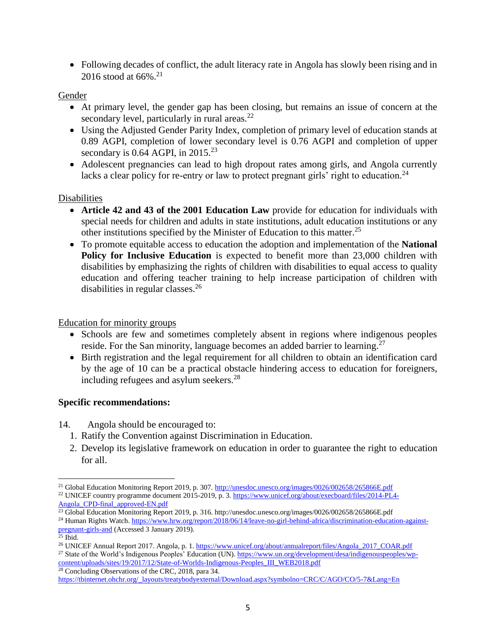• Following decades of conflict, the adult literacy rate in Angola has slowly been rising and in 2016 stood at 66%.<sup>21</sup>

#### Gender

- At primary level, the gender gap has been closing, but remains an issue of concern at the secondary level, particularly in rural areas. $^{22}$
- Using the Adjusted Gender Parity Index, completion of primary level of education stands at 0.89 AGPI, completion of lower secondary level is 0.76 AGPI and completion of upper secondary is  $0.64$  AGPI, in  $2015.<sup>23</sup>$
- Adolescent pregnancies can lead to high dropout rates among girls, and Angola currently lacks a clear policy for re-entry or law to protect pregnant girls' right to education.<sup>24</sup>

# Disabilities

- **Article 42 and 43 of the 2001 Education Law** provide for education for individuals with special needs for children and adults in state institutions, adult education institutions or any other institutions specified by the Minister of Education to this matter.<sup>25</sup>
- To promote equitable access to education the adoption and implementation of the **National Policy for Inclusive Education** is expected to benefit more than 23,000 children with disabilities by emphasizing the rights of children with disabilities to equal access to quality education and offering teacher training to help increase participation of children with disabilities in regular classes.<sup>26</sup>

Education for minority groups

- Schools are few and sometimes completely absent in regions where indigenous peoples reside. For the San minority, language becomes an added barrier to learning.<sup>27</sup>
- Birth registration and the legal requirement for all children to obtain an identification card by the age of 10 can be a practical obstacle hindering access to education for foreigners, including refugees and asylum seekers.<sup>28</sup>

#### **Specific recommendations:**

- 14. Angola should be encouraged to:
	- 1. Ratify the Convention against Discrimination in Education.
	- 2. Develop its legislative framework on education in order to guarantee the right to education for all.

- <sup>22</sup> UNICEF country programme document 2015-2019, p. 3. [https://www.unicef.org/about/execboard/files/2014-PL4-](https://www.unicef.org/about/execboard/files/2014-PL4-Angola_CPD-final_approved-EN.pdf) [Angola\\_CPD-final\\_approved-EN.pdf](https://www.unicef.org/about/execboard/files/2014-PL4-Angola_CPD-final_approved-EN.pdf)
- <sup>23</sup> Global Education Monitoring Report 2019, p. 316. http://unesdoc.unesco.org/images/0026/002658/265866E.pdf

[content/uploads/sites/19/2017/12/State-of-Worlds-Indigenous-Peoples\\_III\\_WEB2018.pdf](https://www.un.org/development/desa/indigenouspeoples/wp-content/uploads/sites/19/2017/12/State-of-Worlds-Indigenous-Peoples_III_WEB2018.pdf) <sup>28</sup> Concluding Observations of the CRC, 2018, para 34.

l <sup>21</sup> Global Education Monitoring Report 2019, p. 307. http://unesdoc.unesco.org/images/0026/002658/265866E.pdf

<sup>&</sup>lt;sup>24</sup> Human Rights Watch. [https://www.hrw.org/report/2018/06/14/leave-no-girl-behind-africa/discrimination-education-against](https://www.hrw.org/report/2018/06/14/leave-no-girl-behind-africa/discrimination-education-against-pregnant-girls-and)[pregnant-girls-and](https://www.hrw.org/report/2018/06/14/leave-no-girl-behind-africa/discrimination-education-against-pregnant-girls-and) (Accessed 3 January 2019).

<sup>25</sup> Ibid.

<sup>26</sup> UNICEF Annual Report 2017. Angola, p. 1. [https://www.unicef.org/about/annualreport/files/Angola\\_2017\\_COAR.pdf](https://www.unicef.org/about/annualreport/files/Angola_2017_COAR.pdf) <sup>27</sup> State of the World's Indigenous Peoples' Education (UN). [https://www.un.org/development/desa/indigenouspeoples/wp-](https://www.un.org/development/desa/indigenouspeoples/wp-content/uploads/sites/19/2017/12/State-of-Worlds-Indigenous-Peoples_III_WEB2018.pdf)

[https://tbinternet.ohchr.org/\\_layouts/treatybodyexternal/Download.aspx?symbolno=CRC/C/AGO/CO/5-7&Lang=En](https://tbinternet.ohchr.org/_layouts/treatybodyexternal/Download.aspx?symbolno=CRC/C/AGO/CO/5-7&Lang=En)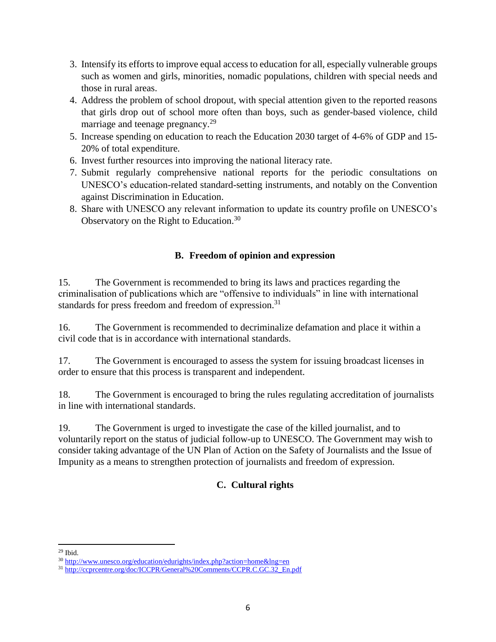- 3. Intensify its efforts to improve equal access to education for all, especially vulnerable groups such as women and girls, minorities, nomadic populations, children with special needs and those in rural areas.
- 4. Address the problem of school dropout, with special attention given to the reported reasons that girls drop out of school more often than boys, such as gender-based violence, child marriage and teenage pregnancy.<sup>29</sup>
- 5. Increase spending on education to reach the Education 2030 target of 4-6% of GDP and 15- 20% of total expenditure.
- 6. Invest further resources into improving the national literacy rate.
- 7. Submit regularly comprehensive national reports for the periodic consultations on UNESCO's education-related standard-setting instruments, and notably on the Convention against Discrimination in Education.
- 8. Share with UNESCO any relevant information to update its country profile on UNESCO's Observatory on the Right to Education.<sup>30</sup>

# **B. Freedom of opinion and expression**

15. The Government is recommended to bring its laws and practices regarding the criminalisation of publications which are "offensive to individuals" in line with international standards for press freedom and freedom of expression.<sup>31</sup>

16. The Government is recommended to decriminalize defamation and place it within a civil code that is in accordance with international standards.

17. The Government is encouraged to assess the system for issuing broadcast licenses in order to ensure that this process is transparent and independent.

18. The Government is encouraged to bring the rules regulating accreditation of journalists in line with international standards.

19. The Government is urged to investigate the case of the killed journalist, and to voluntarily report on the status of judicial follow-up to UNESCO. The Government may wish to consider taking advantage of the UN Plan of Action on the Safety of Journalists and the Issue of Impunity as a means to strengthen protection of journalists and freedom of expression.

# **C. Cultural rights**

 $\overline{\phantom{a}}$ <sup>29</sup> Ibid.

<sup>30</sup> <http://www.unesco.org/education/edurights/index.php?action=home&lng=en>

<sup>31</sup> http://ccprcentre.org/doc/ICCPR/General%20Comments/CCPR.C.GC.32 En.pdf